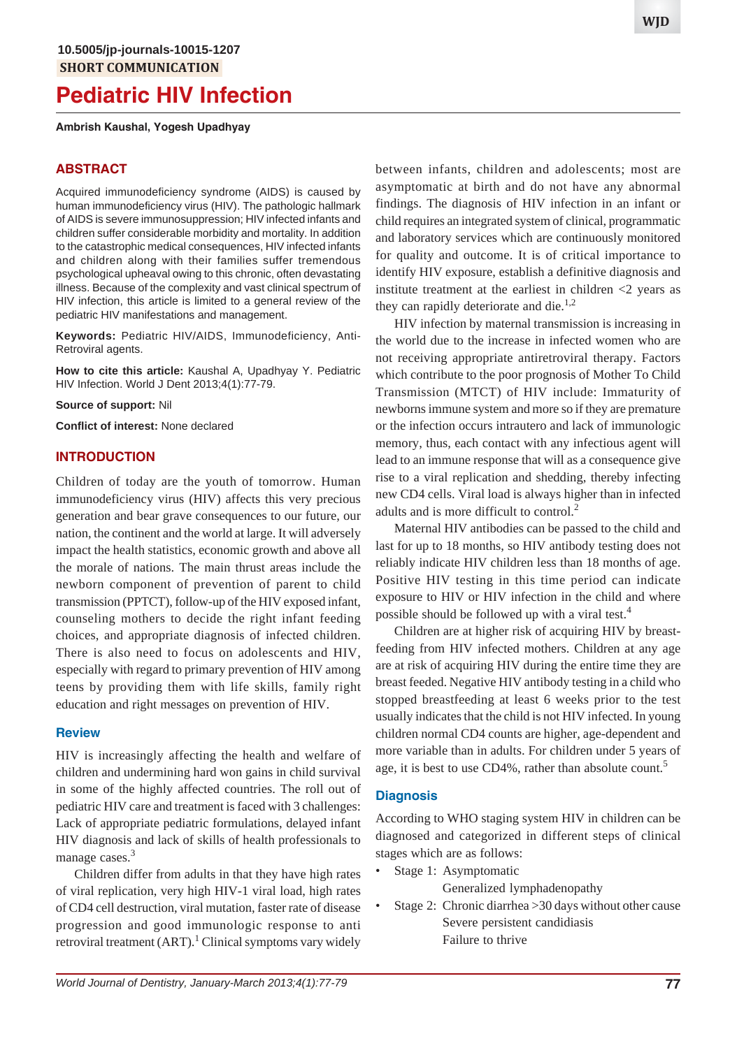# **Pediatric HIV Infection**

#### **Ambrish Kaushal, Yogesh Upadhyay**

### **ABSTRACT**

Acquired immunodeficiency syndrome (AIDS) is caused by human immunodeficiency virus (HIV). The pathologic hallmark of AIDS is severe immunosuppression; HIV infected infants and children suffer considerable morbidity and mortality. In addition to the catastrophic medical consequences, HIV infected infants and children along with their families suffer tremendous psychological upheaval owing to this chronic, often devastating illness. Because of the complexity and vast clinical spectrum of HIV infection, this article is limited to a general review of the pediatric HIV manifestations and management.

**Keywords:** Pediatric HIV/AIDS, Immunodeficiency, Anti-Retroviral agents.

**How to cite this article:** Kaushal A, Upadhyay Y. Pediatric HIV Infection. World J Dent 2013;4(1):77-79.

**Source of support:** Nil

**Conflict of interest:** None declared

#### **INTRODUCTION**

Children of today are the youth of tomorrow. Human immunodeficiency virus (HIV) affects this very precious generation and bear grave consequences to our future, our nation, the continent and the world at large. It will adversely impact the health statistics, economic growth and above all the morale of nations. The main thrust areas include the newborn component of prevention of parent to child transmission (PPTCT), follow-up of the HIV exposed infant, counseling mothers to decide the right infant feeding choices, and appropriate diagnosis of infected children. There is also need to focus on adolescents and HIV, especially with regard to primary prevention of HIV among teens by providing them with life skills, family right education and right messages on prevention of HIV.

#### **Review**

HIV is increasingly affecting the health and welfare of children and undermining hard won gains in child survival in some of the highly affected countries. The roll out of pediatric HIV care and treatment is faced with 3 challenges: Lack of appropriate pediatric formulations, delayed infant HIV diagnosis and lack of skills of health professionals to manage cases.<sup>3</sup>

Children differ from adults in that they have high rates of viral replication, very high HIV-1 viral load, high rates of CD4 cell destruction, viral mutation, faster rate of disease progression and good immunologic response to anti retroviral treatment (ART).<sup>1</sup> Clinical symptoms vary widely between infants, children and adolescents; most are asymptomatic at birth and do not have any abnormal findings. The diagnosis of HIV infection in an infant or child requires an integrated system of clinical, programmatic and laboratory services which are continuously monitored for quality and outcome. It is of critical importance to identify HIV exposure, establish a definitive diagnosis and institute treatment at the earliest in children  $\langle 2 \rangle$  years as they can rapidly deteriorate and die. $1,2$ 

HIV infection by maternal transmission is increasing in the world due to the increase in infected women who are not receiving appropriate antiretroviral therapy. Factors which contribute to the poor prognosis of Mother To Child Transmission (MTCT) of HIV include: Immaturity of newborns immune system and more so if they are premature or the infection occurs intrautero and lack of immunologic memory, thus, each contact with any infectious agent will lead to an immune response that will as a consequence give rise to a viral replication and shedding, thereby infecting new CD4 cells. Viral load is always higher than in infected adults and is more difficult to control.<sup>2</sup>

Maternal HIV antibodies can be passed to the child and last for up to 18 months, so HIV antibody testing does not reliably indicate HIV children less than 18 months of age. Positive HIV testing in this time period can indicate exposure to HIV or HIV infection in the child and where possible should be followed up with a viral test.4

Children are at higher risk of acquiring HIV by breastfeeding from HIV infected mothers. Children at any age are at risk of acquiring HIV during the entire time they are breast feeded. Negative HIV antibody testing in a child who stopped breastfeeding at least 6 weeks prior to the test usually indicates that the child is not HIV infected. In young children normal CD4 counts are higher, age-dependent and more variable than in adults. For children under 5 years of age, it is best to use  $CD4\%$ , rather than absolute count.<sup>5</sup>

#### **Diagnosis**

According to WHO staging system HIV in children can be diagnosed and categorized in different steps of clinical stages which are as follows:

- Stage 1: Asymptomatic Generalized lymphadenopathy
- Stage 2: Chronic diarrhea > 30 days without other cause Severe persistent candidiasis Failure to thrive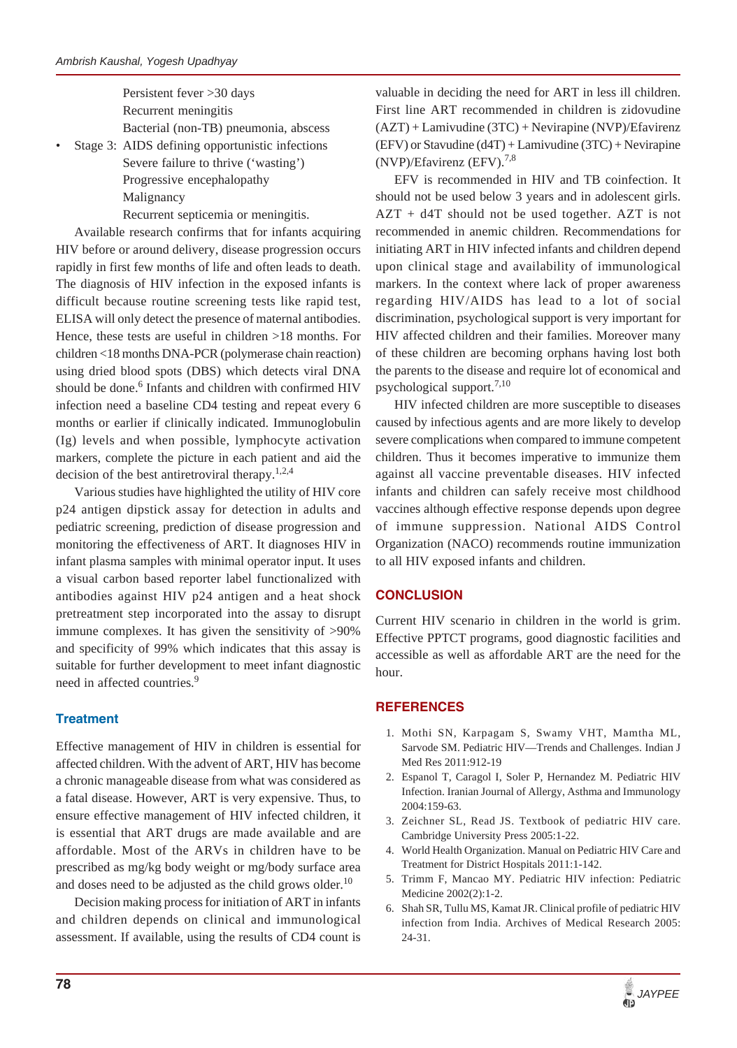Persistent fever >30 days Recurrent meningitis Bacterial (non-TB) pneumonia, abscess

Stage 3: AIDS defining opportunistic infections Severe failure to thrive ('wasting') Progressive encephalopathy Malignancy

Recurrent septicemia or meningitis.

Available research confirms that for infants acquiring HIV before or around delivery, disease progression occurs rapidly in first few months of life and often leads to death. The diagnosis of HIV infection in the exposed infants is difficult because routine screening tests like rapid test, ELISA will only detect the presence of maternal antibodies. Hence, these tests are useful in children >18 months. For children <18 months DNA-PCR (polymerase chain reaction) using dried blood spots (DBS) which detects viral DNA should be done.<sup>6</sup> Infants and children with confirmed HIV infection need a baseline CD4 testing and repeat every 6 months or earlier if clinically indicated. Immunoglobulin (Ig) levels and when possible, lymphocyte activation markers, complete the picture in each patient and aid the decision of the best antiretroviral therapy. $1,2,4$ 

Various studies have highlighted the utility of HIV core p24 antigen dipstick assay for detection in adults and pediatric screening, prediction of disease progression and monitoring the effectiveness of ART. It diagnoses HIV in infant plasma samples with minimal operator input. It uses a visual carbon based reporter label functionalized with antibodies against HIV p24 antigen and a heat shock pretreatment step incorporated into the assay to disrupt immune complexes. It has given the sensitivity of >90% and specificity of 99% which indicates that this assay is suitable for further development to meet infant diagnostic need in affected countries.<sup>9</sup>

### **Treatment**

Effective management of HIV in children is essential for affected children. With the advent of ART, HIV has become a chronic manageable disease from what was considered as a fatal disease. However, ART is very expensive. Thus, to ensure effective management of HIV infected children, it is essential that ART drugs are made available and are affordable. Most of the ARVs in children have to be prescribed as mg/kg body weight or mg/body surface area and doses need to be adjusted as the child grows older.<sup>10</sup>

Decision making process for initiation of ART in infants and children depends on clinical and immunological assessment. If available, using the results of CD4 count is valuable in deciding the need for ART in less ill children. First line ART recommended in children is zidovudine (AZT) + Lamivudine (3TC) + Nevirapine (NVP)/Efavirenz (EFV) or Stavudine (d4T) + Lamivudine (3TC) + Nevirapine  $(NVP)/E$ favirenz (EFV).<sup>7,8</sup>

EFV is recommended in HIV and TB coinfection. It should not be used below 3 years and in adolescent girls. AZT + d4T should not be used together. AZT is not recommended in anemic children. Recommendations for initiating ART in HIV infected infants and children depend upon clinical stage and availability of immunological markers. In the context where lack of proper awareness regarding HIV/AIDS has lead to a lot of social discrimination, psychological support is very important for HIV affected children and their families. Moreover many of these children are becoming orphans having lost both the parents to the disease and require lot of economical and psychological support.<sup>7,10</sup>

HIV infected children are more susceptible to diseases caused by infectious agents and are more likely to develop severe complications when compared to immune competent children. Thus it becomes imperative to immunize them against all vaccine preventable diseases. HIV infected infants and children can safely receive most childhood vaccines although effective response depends upon degree of immune suppression. National AIDS Control Organization (NACO) recommends routine immunization to all HIV exposed infants and children.

## **CONCLUSION**

Current HIV scenario in children in the world is grim. Effective PPTCT programs, good diagnostic facilities and accessible as well as affordable ART are the need for the hour.

## **REFERENCES**

- 1. Mothi SN, Karpagam S, Swamy VHT, Mamtha ML, Sarvode SM. Pediatric HIV—Trends and Challenges. Indian J Med Res 2011:912-19
- 2. Espanol T, Caragol I, Soler P, Hernandez M. Pediatric HIV Infection. Iranian Journal of Allergy, Asthma and Immunology 2004:159-63.
- 3. Zeichner SL, Read JS. Textbook of pediatric HIV care. Cambridge University Press 2005:1-22.
- 4. World Health Organization. Manual on Pediatric HIV Care and Treatment for District Hospitals 2011:1-142.
- 5. Trimm F, Mancao MY. Pediatric HIV infection: Pediatric Medicine 2002(2):1-2.
- 6. Shah SR, Tullu MS, Kamat JR. Clinical profile of pediatric HIV infection from India. Archives of Medical Research 2005: 24-31.